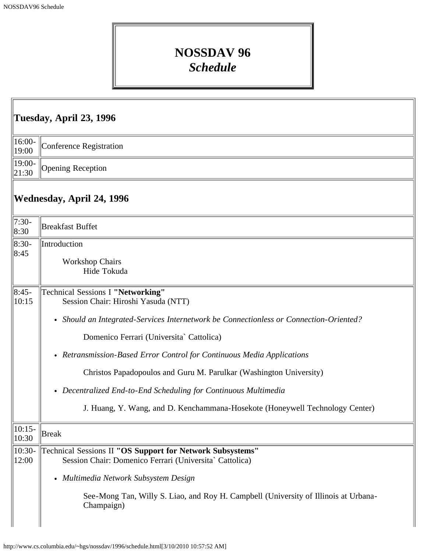## **NOSSDAV 96** *Schedule*

| Tuesday, April 23, 1996   |                                                                                                                                                                                                                                                                                                                                                                                                                                                                                                                   |  |
|---------------------------|-------------------------------------------------------------------------------------------------------------------------------------------------------------------------------------------------------------------------------------------------------------------------------------------------------------------------------------------------------------------------------------------------------------------------------------------------------------------------------------------------------------------|--|
| 16:00-<br>19:00           | Conference Registration                                                                                                                                                                                                                                                                                                                                                                                                                                                                                           |  |
| 19:00-<br>21:30           | Opening Reception                                                                                                                                                                                                                                                                                                                                                                                                                                                                                                 |  |
| Wednesday, April 24, 1996 |                                                                                                                                                                                                                                                                                                                                                                                                                                                                                                                   |  |
| $7:30-$<br>8:30           | <b>Breakfast Buffet</b>                                                                                                                                                                                                                                                                                                                                                                                                                                                                                           |  |
| 8:30-<br>8:45             | Introduction<br><b>Workshop Chairs</b><br>Hide Tokuda                                                                                                                                                                                                                                                                                                                                                                                                                                                             |  |
| $ 8:45-$<br>10:15         | Technical Sessions I "Networking"<br>Session Chair: Hiroshi Yasuda (NTT)<br>• Should an Integrated-Services Internetwork be Connectionless or Connection-Oriented?<br>Domenico Ferrari (Universita` Cattolica)<br>• Retransmission-Based Error Control for Continuous Media Applications<br>Christos Papadopoulos and Guru M. Parulkar (Washington University)<br>• Decentralized End-to-End Scheduling for Continuous Multimedia<br>J. Huang, Y. Wang, and D. Kenchammana-Hosekote (Honeywell Technology Center) |  |
| $10:15-$<br>10:30         | <b>Break</b>                                                                                                                                                                                                                                                                                                                                                                                                                                                                                                      |  |
| $10:30-$<br>12:00         | Technical Sessions II "OS Support for Network Subsystems"<br>Session Chair: Domenico Ferrari (Universita` Cattolica)<br>• Multimedia Network Subsystem Design<br>See-Mong Tan, Willy S. Liao, and Roy H. Campbell (University of Illinois at Urbana-<br>Champaign)                                                                                                                                                                                                                                                |  |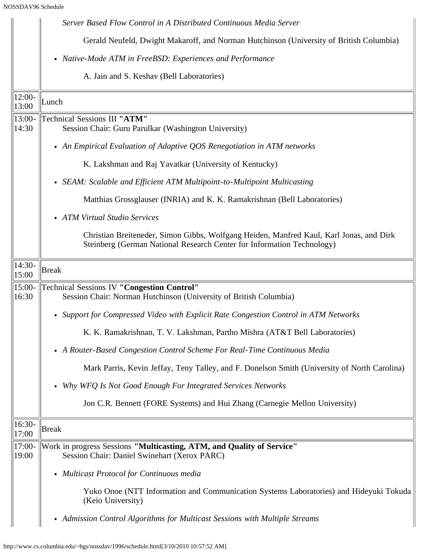|                   | Server Based Flow Control in A Distributed Continuous Media Server                                                                                                |
|-------------------|-------------------------------------------------------------------------------------------------------------------------------------------------------------------|
|                   | Gerald Neufeld, Dwight Makaroff, and Norman Hutchinson (University of British Columbia)                                                                           |
|                   | • Native-Mode ATM in FreeBSD: Experiences and Performance                                                                                                         |
|                   | A. Jain and S. Keshav (Bell Laboratories)                                                                                                                         |
| 12:00-<br>13:00   | Lunch                                                                                                                                                             |
| $13:00-$<br>14:30 | Technical Sessions III "ATM"<br>Session Chair: Guru Parulkar (Washington University)                                                                              |
|                   | • An Empirical Evaluation of Adaptive QOS Renegotiation in ATM networks                                                                                           |
|                   | K. Lakshman and Raj Yavatkar (University of Kentucky)                                                                                                             |
|                   | • SEAM: Scalable and Efficient ATM Multipoint-to-Multipoint Multicasting                                                                                          |
|                   | Matthias Grossglauser (INRIA) and K. K. Ramakrishnan (Bell Laboratories)                                                                                          |
|                   | • ATM Virtual Studio Services                                                                                                                                     |
|                   | Christian Breiteneder, Simon Gibbs, Wolfgang Heiden, Manfred Kaul, Karl Jonas, and Dirk<br>Steinberg (German National Research Center for Information Technology) |
| $14:30-$<br>15:00 | <b>Break</b>                                                                                                                                                      |
| 15:00-<br>16:30   | <b>Technical Sessions IV "Congestion Control"</b><br>Session Chair: Norman Hutchinson (University of British Columbia)                                            |
|                   | • Support for Compressed Video with Explicit Rate Congestion Control in ATM Networks                                                                              |
|                   | K. K. Ramakrishnan, T. V. Lakshman, Partho Mishra (AT&T Bell Laboratories)                                                                                        |
|                   | • A Router-Based Congestion Control Scheme For Real-Time Continuous Media                                                                                         |
|                   | Mark Parris, Kevin Jeffay, Teny Talley, and F. Donelson Smith (University of North Carolina)                                                                      |
|                   | Why WFQ Is Not Good Enough For Integrated Services Networks                                                                                                       |
|                   | Jon C.R. Bennett (FORE Systems) and Hui Zhang (Carnegie Mellon University)                                                                                        |
| 16:30-<br>17:00   | <b>Break</b>                                                                                                                                                      |
| $17:00-$<br>19:00 | Work in progress Sessions "Multicasting, ATM, and Quality of Service"<br>Session Chair: Daniel Swinehart (Xerox PARC)                                             |
|                   | • Multicast Protocol for Continuous media                                                                                                                         |
|                   | Yuko Onoe (NTT Information and Communication Systems Laboratories) and Hideyuki Tokuda<br>(Keio University)                                                       |
|                   | • Admission Control Algorithms for Multicast Sessions with Multiple Streams                                                                                       |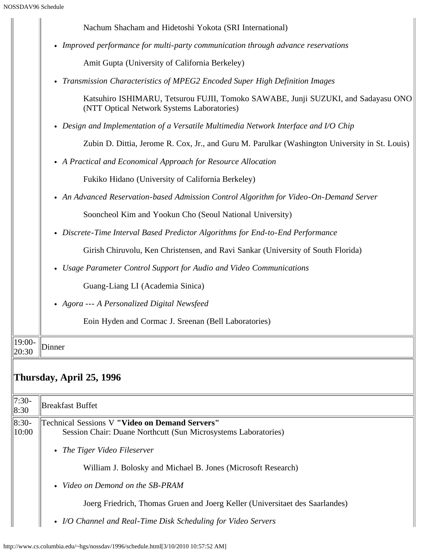|                 | Nachum Shacham and Hidetoshi Yokota (SRI International)                                                                         |
|-----------------|---------------------------------------------------------------------------------------------------------------------------------|
|                 | • Improved performance for multi-party communication through advance reservations                                               |
|                 | Amit Gupta (University of California Berkeley)                                                                                  |
|                 | • Transmission Characteristics of MPEG2 Encoded Super High Definition Images                                                    |
|                 | Katsuhiro ISHIMARU, Tetsurou FUJII, Tomoko SAWABE, Junji SUZUKI, and Sadayasu ONO<br>(NTT Optical Network Systems Laboratories) |
|                 | • Design and Implementation of a Versatile Multimedia Network Interface and I/O Chip                                            |
|                 | Zubin D. Dittia, Jerome R. Cox, Jr., and Guru M. Parulkar (Washington University in St. Louis)                                  |
|                 | • A Practical and Economical Approach for Resource Allocation                                                                   |
|                 | Fukiko Hidano (University of California Berkeley)                                                                               |
|                 | • An Advanced Reservation-based Admission Control Algorithm for Video-On-Demand Server                                          |
|                 | Sooncheol Kim and Yookun Cho (Seoul National University)                                                                        |
|                 | • Discrete-Time Interval Based Predictor Algorithms for End-to-End Performance                                                  |
|                 | Girish Chiruvolu, Ken Christensen, and Ravi Sankar (University of South Florida)                                                |
|                 | • Usage Parameter Control Support for Audio and Video Communications                                                            |
|                 | Guang-Liang LI (Academia Sinica)                                                                                                |
|                 | • Agora --- A Personalized Digital Newsfeed                                                                                     |
|                 | Eoin Hyden and Cormac J. Sreenan (Bell Laboratories)                                                                            |
| 19:00-<br>20:30 | Dinner                                                                                                                          |
|                 | Thursday, April 25, 1996                                                                                                        |
| $7:30-$<br>8:30 | Breakfast Buffet                                                                                                                |
| 8:30-<br>10:00  | <b>Technical Sessions V "Video on Demand Servers"</b><br>Session Chair: Duane Northcutt (Sun Microsystems Laboratories)         |
|                 | • The Tiger Video Fileserver                                                                                                    |
|                 | William J. Bolosky and Michael B. Jones (Microsoft Research)                                                                    |
|                 | Video on Demond on the SB-PRAM<br>$\bullet$                                                                                     |
|                 | Joerg Friedrich, Thomas Gruen and Joerg Keller (Universitaet des Saarlandes)                                                    |
|                 | • I/O Channel and Real-Time Disk Scheduling for Video Servers                                                                   |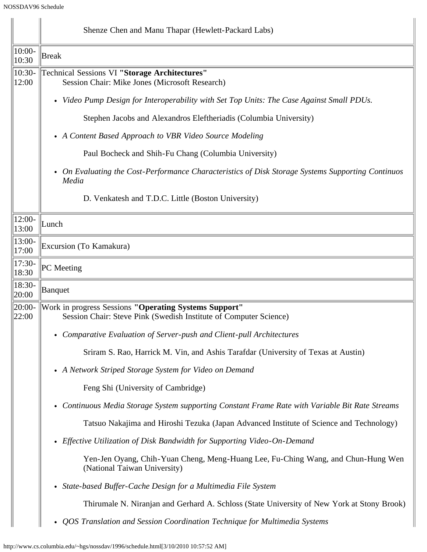|                   | Shenze Chen and Manu Thapar (Hewlett-Packard Labs)                                                                         |
|-------------------|----------------------------------------------------------------------------------------------------------------------------|
| $10:00-$<br>10:30 | Break                                                                                                                      |
| $10:30-$<br>12:00 | Technical Sessions VI "Storage Architectures"<br>Session Chair: Mike Jones (Microsoft Research)                            |
|                   | • Video Pump Design for Interoperability with Set Top Units: The Case Against Small PDUs.                                  |
|                   | Stephen Jacobs and Alexandros Eleftheriadis (Columbia University)                                                          |
|                   | • A Content Based Approach to VBR Video Source Modeling                                                                    |
|                   | Paul Bocheck and Shih-Fu Chang (Columbia University)                                                                       |
|                   | • On Evaluating the Cost-Performance Characteristics of Disk Storage Systems Supporting Continuos<br>Media                 |
|                   | D. Venkatesh and T.D.C. Little (Boston University)                                                                         |
| $12:00-$<br>13:00 | Lunch                                                                                                                      |
| 13:00-<br>17:00   | Excursion (To Kamakura)                                                                                                    |
| $17:30-$<br>18:30 | PC Meeting                                                                                                                 |
| 18:30-<br>20:00   | Banquet                                                                                                                    |
| 20:00-<br>22:00   | Work in progress Sessions "Operating Systems Support"<br>Session Chair: Steve Pink (Swedish Institute of Computer Science) |
|                   | • Comparative Evaluation of Server-push and Client-pull Architectures                                                      |
|                   | Sriram S. Rao, Harrick M. Vin, and Ashis Tarafdar (University of Texas at Austin)                                          |
|                   | • A Network Striped Storage System for Video on Demand                                                                     |
|                   | Feng Shi (University of Cambridge)                                                                                         |
|                   | • Continuous Media Storage System supporting Constant Frame Rate with Variable Bit Rate Streams                            |
|                   | Tatsuo Nakajima and Hiroshi Tezuka (Japan Advanced Institute of Science and Technology)                                    |
|                   | • Effective Utilization of Disk Bandwidth for Supporting Video-On-Demand                                                   |
|                   | Yen-Jen Oyang, Chih-Yuan Cheng, Meng-Huang Lee, Fu-Ching Wang, and Chun-Hung Wen<br>(National Taiwan University)           |
|                   | • State-based Buffer-Cache Design for a Multimedia File System                                                             |
|                   | Thirumale N. Niranjan and Gerhard A. Schloss (State University of New York at Stony Brook)                                 |
|                   | QOS Translation and Session Coordination Technique for Multimedia Systems                                                  |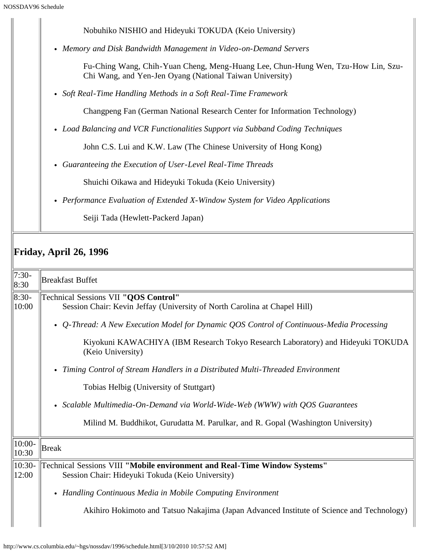|                  | SSDAV96 Schedule                                                                                                                             |
|------------------|----------------------------------------------------------------------------------------------------------------------------------------------|
|                  | Nobuhiko NISHIO and Hideyuki TOKUDA (Keio University)                                                                                        |
|                  | Memory and Disk Bandwidth Management in Video-on-Demand Servers<br>$\bullet$                                                                 |
|                  | Fu-Ching Wang, Chih-Yuan Cheng, Meng-Huang Lee, Chun-Hung Wen, Tzu-How Lin, Szu-<br>Chi Wang, and Yen-Jen Oyang (National Taiwan University) |
|                  | Soft Real-Time Handling Methods in a Soft Real-Time Framework<br>$\bullet$                                                                   |
|                  | Changpeng Fan (German National Research Center for Information Technology)                                                                   |
|                  | • Load Balancing and VCR Functionalities Support via Subband Coding Techniques                                                               |
|                  | John C.S. Lui and K.W. Law (The Chinese University of Hong Kong)                                                                             |
|                  | Guaranteeing the Execution of User-Level Real-Time Threads<br>$\bullet$                                                                      |
|                  | Shuichi Oikawa and Hideyuki Tokuda (Keio University)                                                                                         |
|                  | • Performance Evaluation of Extended X-Window System for Video Applications                                                                  |
|                  | Seiji Tada (Hewlett-Packerd Japan)                                                                                                           |
|                  | <b>Friday, April 26, 1996</b>                                                                                                                |
| $7:30-$<br>8:30  | <b>Breakfast Buffet</b>                                                                                                                      |
| $8:30-$<br>10:00 | Technical Sessions VII "QOS Control"<br>Session Chair: Kevin Jeffay (University of North Carolina at Chapel Hill)                            |
|                  | Q-Thread: A New Execution Model for Dynamic QOS Control of Continuous-Media Processing<br>$\bullet$                                          |
|                  | Kiyokuni KAWACHIYA (IBM Research Tokyo Research Laboratory) and Hideyuki TOKUDA<br>(Keio University)                                         |
|                  | Timing Control of Stream Handlers in a Distributed Multi-Threaded Environment<br>$\bullet$                                                   |
|                  | Tobias Helbig (University of Stuttgart)                                                                                                      |

*Scalable Multimedia-On-Demand via World-Wide-Web (WWW) with QOS Guarantees*

Milind M. Buddhikot, Gurudatta M. Parulkar, and R. Gopal (Washington University)

| $  10:00-$<br> 10:30 | Break                                                                                                                                                    |
|----------------------|----------------------------------------------------------------------------------------------------------------------------------------------------------|
| $\parallel$ 10:30-   | Technical Sessions VIII "Mobile environment and Real-Time Window Systems"                                                                                |
| 12:00                | Session Chair: Hideyuki Tokuda (Keio University)                                                                                                         |
|                      | • Handling Continuous Media in Mobile Computing Environment<br>Akihiro Hokimoto and Tatsuo Nakajima (Japan Advanced Institute of Science and Technology) |